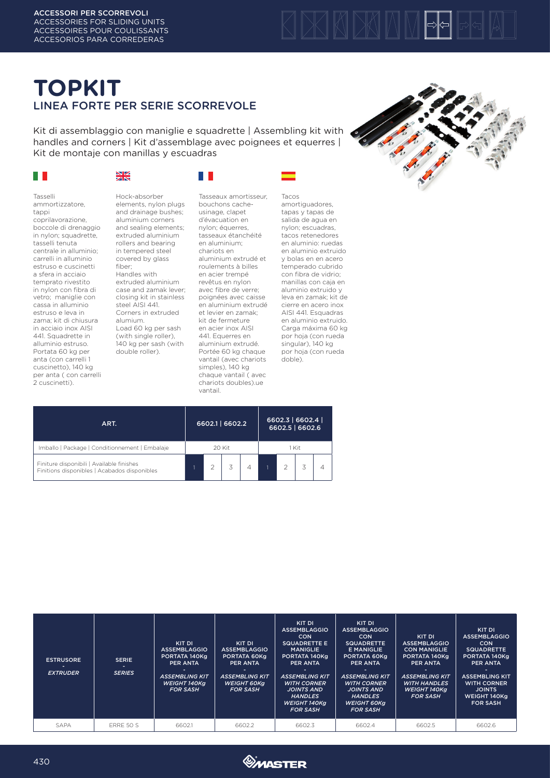# KIDKIN

# **TOPKIT** LINEA FORTE PER SERIE SCORREVOLE

Kit di assemblaggio con maniglie e squadrette | Assembling kit with handles and corners | Kit d'assemblage avec poignees et equerres | Kit de montaje con manillas y escuadras

 $\Box$   $\Box$ 

### $\mathbb{R}^n$

#### ※

Tasselli ammortizzatore, tappi coprilavorazione, boccole di drenaggio in nylon; squadrette, tasselli tenuta centrale in alluminio; carrelli in alluminio estruso e cuscinetti a sfera in acciaio temprato rivestito in nylon con fibra di vetro; maniglie con cassa in alluminio estruso e leva in zama; kit di chiusura in acciaio inox AISI 441. Squadrette in alluminio estruso. Portata 60 kg per anta (con carrelli 1 cuscinetto), 140 kg per anta ( con carrelli 2 cuscinetti).

Hock-absorber elements, nylon plugs and drainage bushes; aluminium corners and sealing elements; extruded aluminium rollers and bearing in tempered steel covered by glass fiber; Handles with extruded aluminium case and zamak lever; closing kit in stainless steel AISI 441. Corners in extruded alumium. Load 60 kg per sash (with single roller), 140 kg per sash (with double roller).

Tasseaux amortisseur, bouchons cacheusinage, clapet d'évacuation en nylon; équerres, tasseaux étanchéité en aluminium; chariots en aluminium extrudé et roulements à billes en acier trempé revêtus en nylon avec fibre de verre; poignées avec caisse en aluminium extrudé et levier en zamak; kit de fermeture en acier inox AISI 441. Equerres en aluminium extrudé. Portée 60 kg chaque vantail (avec chariots simples), 140 kg chaque vantail ( avec

chariots doubles).ue

vantail.

Tacos amortiguadores, tapas y tapas de salida de agua en nylon; escuadras, tacos retenedores en aluminio: ruedas en aluminio extruido y bolas en en acero temperado cubrido con fibra de vidrio; manillas con caja en aluminio extruido y leva en zamak; kit de cierre en acero inox AISI 441. Esquadras en aluminio extruido. Carga máxima 60 kg por hoja (con rueda singular), 140 kg por hoja (con rueda doble).



| ART.                                                                                      | 6602.1   6602.2 |  |  |  | 6602.3   6602.4  <br>6602.5   6602.6 |  |  |  |
|-------------------------------------------------------------------------------------------|-----------------|--|--|--|--------------------------------------|--|--|--|
| Imballo   Package   Conditionnement   Embalaje                                            | 20 Kit          |  |  |  | 1 Kit                                |  |  |  |
| Finiture disponibili   Available finishes<br>Finitions disponibles   Acabados disponibles |                 |  |  |  |                                      |  |  |  |

| <b>ESTRUSORE</b><br><b>EXTRUDER</b> | <b>SERIE</b><br>۰.<br><b>SERIES</b> | KIT DI<br><b>ASSEMBLAGGIO</b><br>PORTATA 140Kg<br><b>PER ANTA</b><br><b>ASSEMBLING KIT</b><br>WEIGHT 140Ka<br><b>FOR SASH</b> | KIT DI<br><b>ASSEMBLAGGIO</b><br>PORTATA 60Kg<br><b>PER ANTA</b><br><b>ASSEMBLING KIT</b><br><b>WEIGHT 60Kg</b><br><b>FOR SASH</b> | KIT DI<br><b>ASSEMBLAGGIO</b><br><b>CON</b><br><b>SQUADRETTE E</b><br><b>MANIGLIE</b><br>PORTATA 140Kg<br><b>PER ANTA</b><br><b>ASSEMBLING KIT</b><br><b>WITH CORNER</b><br><b>JOINTS AND</b><br><b>HANDLES</b><br>WEIGHT 140Kg<br><b>FOR SASH</b> | KIT DI<br><b>ASSEMBLAGGIO</b><br><b>CON</b><br><b>SQUADRETTE</b><br><b>E MANIGLIE</b><br>PORTATA 60Kg<br><b>PER ANTA</b><br><b>ASSEMBLING KIT</b><br><b>WITH CORNER</b><br><b>JOINTS AND</b><br><b>HANDLES</b><br><b>WEIGHT 60Kg</b><br><b>FOR SASH</b> | KIT DI<br><b>ASSEMBLAGGIO</b><br><b>CON MANIGLIE</b><br>PORTATA 140Kg<br><b>PER ANTA</b><br><b>ASSEMBLING KIT</b><br><b>WITH HANDLES</b><br>WEIGHT 140Ka<br><b>FOR SASH</b> | KIT DI<br><b>ASSEMBLAGGIO</b><br><b>CON</b><br><b>SQUADRETTE</b><br>PORTATA 140Kg<br><b>PER ANTA</b><br><b>ASSEMBLING KIT</b><br><b>WITH CORNER</b><br><b>JOINTS</b><br>WEIGHT 140Kg<br><b>FOR SASH</b> |
|-------------------------------------|-------------------------------------|-------------------------------------------------------------------------------------------------------------------------------|------------------------------------------------------------------------------------------------------------------------------------|----------------------------------------------------------------------------------------------------------------------------------------------------------------------------------------------------------------------------------------------------|---------------------------------------------------------------------------------------------------------------------------------------------------------------------------------------------------------------------------------------------------------|-----------------------------------------------------------------------------------------------------------------------------------------------------------------------------|---------------------------------------------------------------------------------------------------------------------------------------------------------------------------------------------------------|
| SAPA                                | ERRE 50 S                           | 6602.1                                                                                                                        | 6602.2                                                                                                                             | 6602.3                                                                                                                                                                                                                                             | 6602.4                                                                                                                                                                                                                                                  | 6602.5                                                                                                                                                                      | 6602.6                                                                                                                                                                                                  |